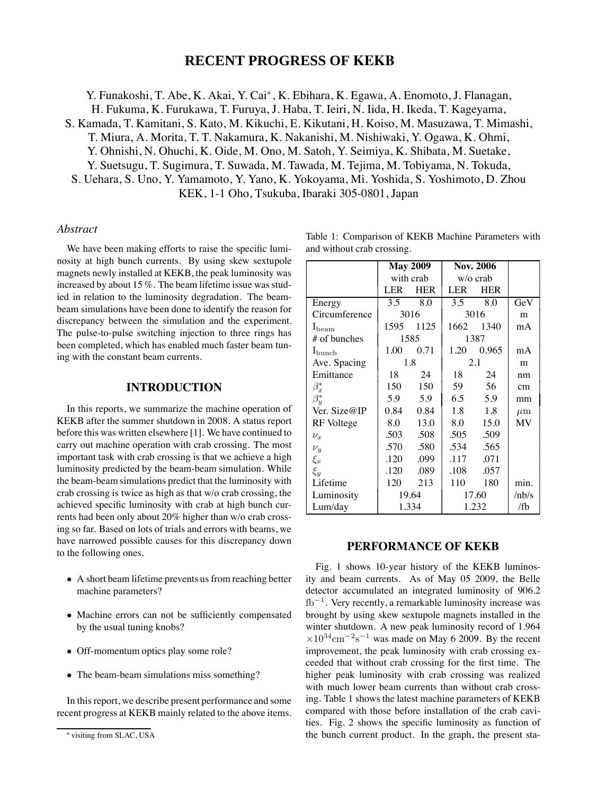## **RECENT PROGRESS OF KEKB**

Y. Funakoshi, T. Abe, K. Akai, Y. Cai<sup>∗</sup>, K. Ebihara, K. Egawa, A. Enomoto, J. Flanagan, H. Fukuma, K. Furukawa, T. Furuya, J. Haba, T. Ieiri, N. Iida, H. Ikeda, T. Kageyama, S. Kamada, T. Kamitani, S. Kato, M. Kikuchi, E. Kikutani, H. Koiso, M. Masuzawa, T. Mimashi, T. Miura, A. Morita, T. T. Nakamura, K. Nakanishi, M. Nishiwaki, Y. Ogawa, K. Ohmi, Y. Ohnishi, N. Ohuchi, K. Oide, M. Ono, M. Satoh, Y. Seimiya, K. Shibata, M. Suetake,

Y. Suetsugu, T. Sugimura, T. Suwada, M. Tawada, M. Tejima, M. Tobiyama, N. Tokuda,

S. Uehara, S. Uno, Y. Yamamoto, Y. Yano, K. Yokoyama, Mi. Yoshida, S. Yoshimoto, D. Zhou KEK, 1-1 Oho, Tsukuba, Ibaraki 305-0801, Japan

#### *Abstract*

We have been making efforts to raise the specific luminosity at high bunch currents. By using skew sextupole magnets newly installed at KEKB, the peak luminosity was increased by about 15 %. The beam lifetime issue was studied in relation to the luminosity degradation. The beambeam simulations have been done to identify the reason for discrepancy between the simulation and the experiment. The pulse-to-pulse switching injection to three rings has been completed, which has enabled much faster beam tuning with the constant beam currents.

## **INTRODUCTION**

In this reports, we summarize the machine operation of KEKB after the summer shutdown in 2008. A status report before this was written elsewhere [1]. We have continued to carry out machine operation with crab crossing. The most important task with crab crossing is that we achieve a high luminosity predicted by the beam-beam simulation. While the beam-beam simulations predict that the luminosity with crab crossing is twice as high as that w/o crab crossing, the achieved specific luminosity with crab at high bunch currents had been only about 20% higher than w/o crab crossing so far. Based on lots of trials and errors with beams, we have narrowed possible causes for this discrepancy down to the following ones.

- A short beam lifetime prevents us from reaching better machine parameters?
- Machine errors can not be sufficiently compensated by the usual tuning knobs?
- Off-momentum optics play some role?
- The beam-beam simulations miss something?

In this report, we describe present performance and some recent progress at KEKB mainly related to the above items.

|                                                     | $M_{\alpha v}$ 2000 $\,$ N <sub>ov</sub> 2006 |  |
|-----------------------------------------------------|-----------------------------------------------|--|
| and without crab crossing.                          |                                               |  |
| Table 1: Comparison of KEKB Machine Parameters with |                                               |  |

|                    | <b>May 2009</b> |            | <b>Nov. 2006</b> |            |         |
|--------------------|-----------------|------------|------------------|------------|---------|
|                    | with crab       |            | w/o crab         |            |         |
|                    | LER             | <b>HER</b> | LER              | <b>HER</b> |         |
| Energy             | 3.5             | 8.0        | 3.5              | 8.0        | GeV     |
| Circumference      | 3016            |            | 3016             |            | m       |
| $I_{\text{beam}}$  | 1595            | 1125       | 1662             | 1340       | mA      |
| # of bunches       | 1585            |            | 1387             |            |         |
| $I_{\text{bunch}}$ | 1.00            | 0.71       | 1.20             | 0.965      | mA      |
| Ave. Spacing       | 1.8             |            | 2.1              |            | m       |
| Emittance          | 18              | 24         | 18               | 24         | nm      |
| $\beta_x^*$        | 150             | 150        | 59               | 56         | cm      |
| $\beta_u^*$        | 5.9             | 5.9        | 6.5              | 5.9        | mm      |
| Ver. Size@IP       | 0.84            | 0.84       | 1.8              | 1.8        | $\mu$ m |
| RF Voltege         | 8.0             | 13.0       | 8.0              | 15.0       | MV      |
| $\nu_x$            | .503            | .508       | .505             | .509       |         |
| $\nu_y$            | .570            | .580       | .534             | .565       |         |
| $\xi_x$            | .120            | .099       | .117             | .071       |         |
| $\xi_y$            | .120            | .089       | .108             | .057       |         |
| Lifetime           | 120             | 213        | 110              | 180        | min.    |
| Luminosity         | 19.64           |            | 17.60            |            | /hb/s   |
| Lum/day            | 1.334           |            | 1.232            |            | /fb     |

### **PERFORMANCE OF KEKB**

Fig. 1 shows 10-year history of the KEKB luminosity and beam currents. As of May 05 2009, the Belle detector accumulated an integrated luminosity of 906.2  $fb^{-1}$ . Very recently, a remarkable luminosity increase was brought by using skew sextupole magnets installed in the winter shutdown. A new peak luminosity record of 1.964  $\times 10^{34}$ cm<sup>-2</sup>s<sup>-1</sup> was made on May 6 2009. By the recent improvement, the peak luminosity with crab crossing exceeded that without crab crossing for the first time. The higher peak luminosity with crab crossing was realized with much lower beam currents than without crab crossing. Table 1 shows the latest machine parameters of KEKB compared with those before installation of the crab cavities. Fig. 2 shows the specific luminosity as function of the bunch current product. In the graph, the present sta-

<sup>∗</sup> visiting from SLAC, USA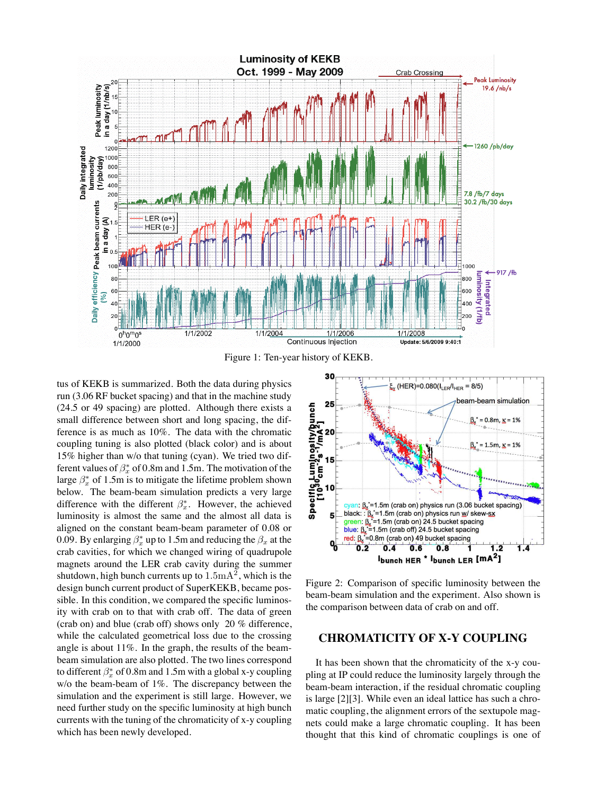

Figure 1: Ten-year history of KEKB.

tus of KEKB is summarized. Both the data during physics run (3.06 RF bucket spacing) and that in the machine study (24.5 or 49 spacing) are plotted. Although there exists a small difference between short and long spacing, the difference is as much as 10%. The data with the chromatic coupling tuning is also plotted (black color) and is about 15% higher than w/o that tuning (cyan). We tried two different values of  $\beta_x^*$  of 0.8m and 1.5m. The motivation of the large  $\beta_x^*$  of 1.5m is to mitigate the lifetime problem shown below. The beam-beam simulation predicts a very large difference with the different  $\beta_x^*$ . However, the achieved luminosity is almost the same and the almost all data is aligned on the constant beam-beam parameter of 0.08 or 0.09. By enlarging  $\beta_x^*$  up to 1.5m and reducing the  $\beta_x$  at the crab cavities, for which we changed wiring of quadrupole magnets around the LER crab cavity during the summer shutdown, high bunch currents up to  $1.5 \text{mA}^2$ , which is the design bunch current product of SuperKEKB, became possible. In this condition, we compared the specific luminosity with crab on to that with crab off. The data of green (crab on) and blue (crab off) shows only 20 % difference, while the calculated geometrical loss due to the crossing angle is about 11%. In the graph, the results of the beambeam simulation are also plotted. The two lines correspond to different  $\beta_x^*$  of 0.8m and 1.5m with a global x-y coupling w/o the beam-beam of 1%. The discrepancy between the simulation and the experiment is still large. However, we need further study on the specific luminosity at high bunch currents with the tuning of the chromaticity of x-y coupling which has been newly developed.



Figure 2: Comparison of specific luminosity between the beam-beam simulation and the experiment. Also shown is the comparison between data of crab on and off.

#### **CHROMATICITY OF X-Y COUPLING**

It has been shown that the chromaticity of the x-y coupling at IP could reduce the luminosity largely through the beam-beam interaction, if the residual chromatic coupling is large [2][3]. While even an ideal lattice has such a chromatic coupling, the alignment errors of the sextupole magnets could make a large chromatic coupling. It has been thought that this kind of chromatic couplings is one of